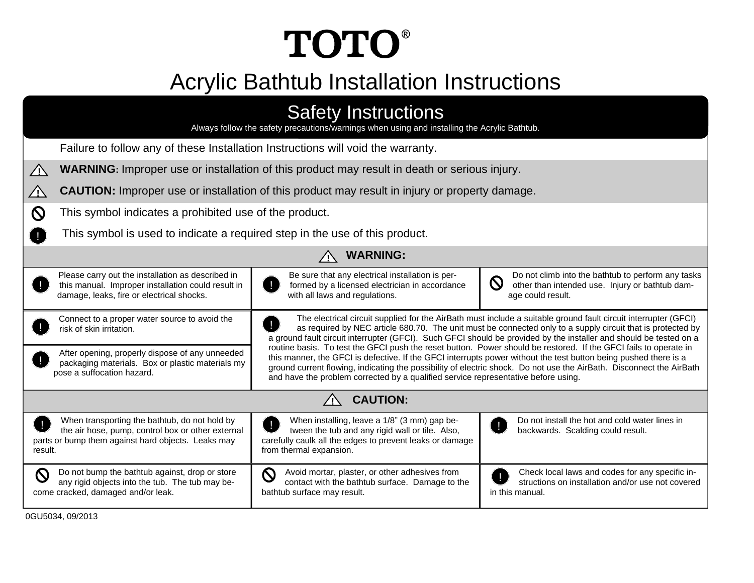# **TOTO®**

# Acrylic Bathtub Installation Instructions

| <b>Safety Instructions</b><br>Always follow the safety precautions/warnings when using and installing the Acrylic Bathtub.                                          |                                                                                                                                                                                                                                                                                                                                                                                                                                                                                                                                                                                              |                                                                                                                                           |  |  |
|---------------------------------------------------------------------------------------------------------------------------------------------------------------------|----------------------------------------------------------------------------------------------------------------------------------------------------------------------------------------------------------------------------------------------------------------------------------------------------------------------------------------------------------------------------------------------------------------------------------------------------------------------------------------------------------------------------------------------------------------------------------------------|-------------------------------------------------------------------------------------------------------------------------------------------|--|--|
| Failure to follow any of these Installation Instructions will void the warranty.                                                                                    |                                                                                                                                                                                                                                                                                                                                                                                                                                                                                                                                                                                              |                                                                                                                                           |  |  |
| $\sqrt{N}$                                                                                                                                                          | <b>WARNING:</b> Improper use or installation of this product may result in death or serious injury.                                                                                                                                                                                                                                                                                                                                                                                                                                                                                          |                                                                                                                                           |  |  |
| <b>CAUTION:</b> Improper use or installation of this product may result in injury or property damage.<br>$\angle$                                                   |                                                                                                                                                                                                                                                                                                                                                                                                                                                                                                                                                                                              |                                                                                                                                           |  |  |
| This symbol indicates a prohibited use of the product.<br>$\boldsymbol{\mathsf{N}}$                                                                                 |                                                                                                                                                                                                                                                                                                                                                                                                                                                                                                                                                                                              |                                                                                                                                           |  |  |
| This symbol is used to indicate a required step in the use of this product.                                                                                         |                                                                                                                                                                                                                                                                                                                                                                                                                                                                                                                                                                                              |                                                                                                                                           |  |  |
|                                                                                                                                                                     | <b>WARNING:</b>                                                                                                                                                                                                                                                                                                                                                                                                                                                                                                                                                                              |                                                                                                                                           |  |  |
| Please carry out the installation as described in<br>this manual. Improper installation could result in<br>damage, leaks, fire or electrical shocks.                | Be sure that any electrical installation is per-<br>ш<br>formed by a licensed electrician in accordance<br>with all laws and regulations.                                                                                                                                                                                                                                                                                                                                                                                                                                                    | Do not climb into the bathtub to perform any tasks<br>$\mathbf W$<br>other than intended use. Injury or bathtub dam-<br>age could result. |  |  |
| Connect to a proper water source to avoid the<br>risk of skin irritation.<br>After opening, properly dispose of any unneeded                                        | The electrical circuit supplied for the AirBath must include a suitable ground fault circuit interrupter (GFCI)<br>as required by NEC article 680.70. The unit must be connected only to a supply circuit that is protected by<br>a ground fault circuit interrupter (GFCI). Such GFCI should be provided by the installer and should be tested on a<br>routine basis. To test the GFCI push the reset button. Power should be restored. If the GFCI fails to operate in<br>this manner, the GFCI is defective. If the GFCI interrupts power without the test button being pushed there is a |                                                                                                                                           |  |  |
| packaging materials. Box or plastic materials my<br>pose a suffocation hazard.                                                                                      | ground current flowing, indicating the possibility of electric shock. Do not use the AirBath. Disconnect the AirBath<br>and have the problem corrected by a qualified service representative before using.                                                                                                                                                                                                                                                                                                                                                                                   |                                                                                                                                           |  |  |
| <b>CAUTION:</b>                                                                                                                                                     |                                                                                                                                                                                                                                                                                                                                                                                                                                                                                                                                                                                              |                                                                                                                                           |  |  |
| When transporting the bathtub, do not hold by<br>the air hose, pump, control box or other external<br>parts or bump them against hard objects. Leaks may<br>result. | When installing, leave a 1/8" (3 mm) gap be-<br>Ţ<br>tween the tub and any rigid wall or tile. Also,<br>carefully caulk all the edges to prevent leaks or damage<br>from thermal expansion.                                                                                                                                                                                                                                                                                                                                                                                                  | Do not install the hot and cold water lines in<br>J.<br>backwards. Scalding could result.                                                 |  |  |
| $\mathsf{O}\phantom{0}$<br>Do not bump the bathtub against, drop or store<br>any rigid objects into the tub. The tub may be-<br>come cracked, damaged and/or leak.  | Q<br>Avoid mortar, plaster, or other adhesives from<br>contact with the bathtub surface. Damage to the<br>bathtub surface may result.                                                                                                                                                                                                                                                                                                                                                                                                                                                        | Check local laws and codes for any specific in-<br>structions on installation and/or use not covered<br>in this manual.                   |  |  |
| 0GU5034, 09/2013                                                                                                                                                    |                                                                                                                                                                                                                                                                                                                                                                                                                                                                                                                                                                                              |                                                                                                                                           |  |  |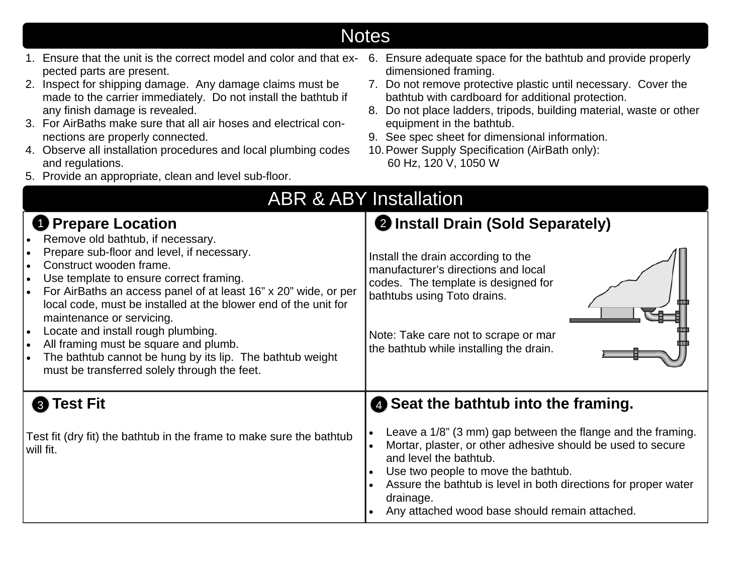| pected parts are present.<br>2. Inspect for shipping damage. Any damage claims must be<br>made to the carrier immediately. Do not install the bathtub if<br>any finish damage is revealed.<br>3. For AirBaths make sure that all air hoses and electrical con-<br>nections are properly connected.<br>4. Observe all installation procedures and local plumbing codes<br>and regulations.<br>5. Provide an appropriate, clean and level sub-floor.                                                                                | dimensioned framing.<br>7. Do not remove protective plastic until necessary. Cover the<br>bathtub with cardboard for additional protection.<br>8. Do not place ladders, tripods, building material, waste or other<br>equipment in the bathtub.<br>9. See spec sheet for dimensional information.<br>10. Power Supply Specification (AirBath only):<br>60 Hz, 120 V, 1050 W |
|-----------------------------------------------------------------------------------------------------------------------------------------------------------------------------------------------------------------------------------------------------------------------------------------------------------------------------------------------------------------------------------------------------------------------------------------------------------------------------------------------------------------------------------|-----------------------------------------------------------------------------------------------------------------------------------------------------------------------------------------------------------------------------------------------------------------------------------------------------------------------------------------------------------------------------|
| <b>D</b> Prepare Location                                                                                                                                                                                                                                                                                                                                                                                                                                                                                                         | <b>ABR &amp; ABY Installation</b><br><b>2 Install Drain (Sold Separately)</b>                                                                                                                                                                                                                                                                                               |
| Remove old bathtub, if necessary.<br>Prepare sub-floor and level, if necessary.<br>Construct wooden frame.<br>Use template to ensure correct framing.<br>For AirBaths an access panel of at least 16" x 20" wide, or per<br>local code, must be installed at the blower end of the unit for<br>maintenance or servicing.<br>Locate and install rough plumbing.<br>$\bullet$<br>All framing must be square and plumb.<br>The bathtub cannot be hung by its lip. The bathtub weight<br>must be transferred solely through the feet. | Install the drain according to the<br>manufacturer's directions and local<br>codes. The template is designed for<br>bathtubs using Toto drains.<br>Note: Take care not to scrape or mar<br>the bathtub while installing the drain.                                                                                                                                          |
| <b>8</b> Test Fit                                                                                                                                                                                                                                                                                                                                                                                                                                                                                                                 | Seat the bathtub into the framing.                                                                                                                                                                                                                                                                                                                                          |
| Test fit (dry fit) the bathtub in the frame to make sure the bathtub<br>will fit.                                                                                                                                                                                                                                                                                                                                                                                                                                                 | Leave a 1/8" (3 mm) gap between the flange and the framing.<br>$\bullet$<br>Mortar, plaster, or other adhesive should be used to secure<br>$\bullet$<br>and level the bathtub.<br>Use two people to move the bathtub.<br>Assure the bathtub is level in both directions for proper water<br>$\bullet$<br>drainage.<br>Any attached wood base should remain attached.        |

# Notes

6. Ensure adequate space for the bathtub and provide properly

1. Ensure that the unit is the correct model and color and that ex-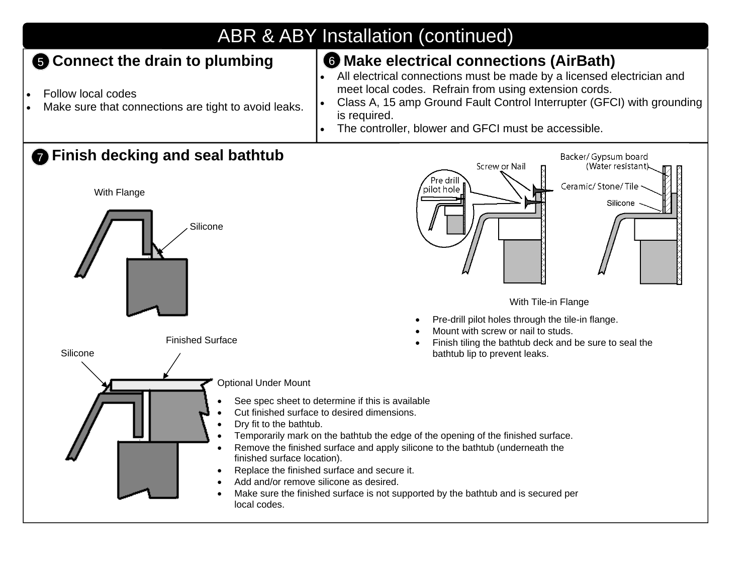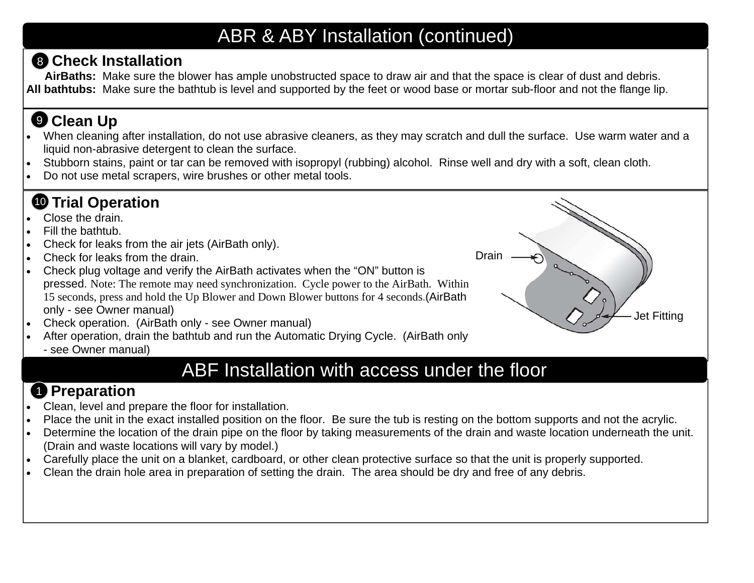# ABR & ABY Installation (continued)

#### **Check Installation**  8

**AirBaths:** Make sure the blower has ample unobstructed space to draw air and that the space is clear of dust and debris. **All bathtubs:** Make sure the bathtub is level and supported by the feet or wood base or mortar sub-floor and not the flange lip.

# **Clean Up**  9

- . When cleaning after installation, do not use abrasive cleaners, as they may scratch and dull the surface. Use warm water and a liquid non-abrasive detergent to clean the surface.
- $\bullet$ Stubborn stains, paint or tar can be removed with isopropyl (rubbing) alcohol. Rinse well and dry with a soft, clean cloth.
- $\bullet$ Do not use metal scrapers, wire brushes or other metal tools.

# **10 Trial Operation**

- $\bullet$ Close the drain.
- $\bullet$ Fill the bathtub.
- $\bullet$ Check for leaks from the air jets (AirBath only).
- $\bullet$ Check for leaks from the drain.
- $\bullet$  Check plug voltage and verify the AirBath activates when the "ON" button is pressed. Note: The remote may need synchronization. Cycle power to the AirBath. Within 15 seconds, press and hold the Up Blower and Down Blower buttons for 4 seconds.(AirBath only - see Owner manual)
- $\bullet$ Check operation. (AirBath only - see Owner manual)
- $\bullet$  After operation, drain the bathtub and run the Automatic Drying Cycle. (AirBath only
	- see Owner manual)

# ABF Installation with access under the floor

Drain

Jet Fitting

#### **Preparation**  1

- $\bullet$ Clean, level and prepare the floor for installation.
- $\bullet$ Place the unit in the exact installed position on the floor. Be sure the tub is resting on the bottom supports and not the acrylic.
- $\bullet$  Determine the location of the drain pipe on the floor by taking measurements of the drain and waste location underneath the unit. (Drain and waste locations will vary by model.)
- $\bullet$ Carefully place the unit on a blanket, cardboard, or other clean protective surface so that the unit is properly supported.
- $\bullet$ Clean the drain hole area in preparation of setting the drain. The area should be dry and free of any debris.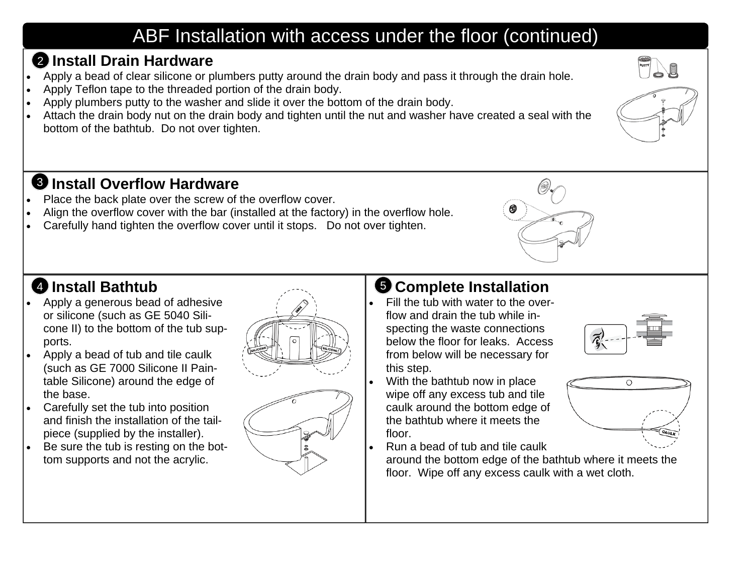# ABF Installation with access under the floor (continued)

#### **Install Drain Hardware** 2

- . Apply a bead of clear silicone or plumbers putty around the drain body and pass it through the drain hole.
- $\bullet$ Apply Teflon tape to the threaded portion of the drain body.
- $\bullet$ Apply plumbers putty to the washer and slide it over the bottom of the drain body.
- $\bullet$  Attach the drain body nut on the drain body and tighten until the nut and washer have created a seal with the bottom of the bathtub. Do not over tighten.

# **Install Overflow Hardware**  3

- $\bullet$ Place the back plate over the screw of the overflow cover.
- $\bullet$ Align the overflow cover with the bar (installed at the factory) in the overflow hole.
- $\bullet$ Carefully hand tighten the overflow cover until it stops. Do not over tighten.



#### **Install Bathtub**

- $\bullet$  Apply a generous bead of adhesive or silicone (such as GE 5040 Silicone II) to the bottom of the tub supports.
- $\bullet$  Apply a bead of tub and tile caulk (such as GE 7000 Silicone II Paintable Silicone) around the edge of the base.
- $\bullet$  Carefully set the tub into position and finish the installation of the tailpiece (supplied by the installer).
- $\bullet$  Be sure the tub is resting on the bottom supports and not the acrylic.



 $\bullet$ 

# **4** Install Bathtub **Complete Installation**

- $\bullet$  Fill the tub with water to the overflow and drain the tub while inspecting the waste connections below the floor for leaks. Access from below will be necessary for this step.
- $\bullet$  With the bathtub now in place wipe off any excess tub and tile caulk around the bottom edge of the bathtub where it meets the floor.
	- Run a bead of tub and tile caulk

around the bottom edge of the bathtub where it meets the floor. Wipe off any excess caulk with a wet cloth.





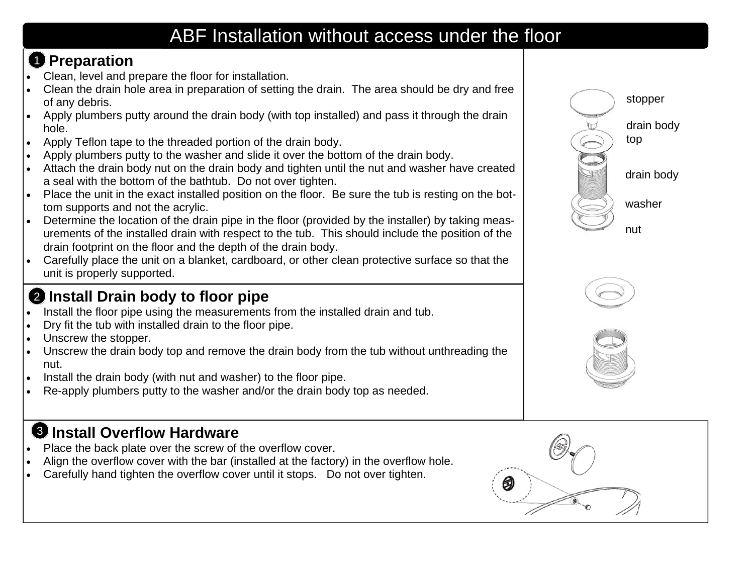# ABF Installation without access under the floor

# **Preparation**  1

- . Clean, level and prepare the floor for installation.
- $\bullet$  Clean the drain hole area in preparation of setting the drain. The area should be dry and free of any debris.
- $\bullet$  Apply plumbers putty around the drain body (with top installed) and pass it through the drain hole.
- $\bullet$ Apply Teflon tape to the threaded portion of the drain body.
- $\bullet$ Apply plumbers putty to the washer and slide it over the bottom of the drain body.
- $\bullet$  Attach the drain body nut on the drain body and tighten until the nut and washer have created a seal with the bottom of the bathtub. Do not over tighten.
- $\bullet$  Place the unit in the exact installed position on the floor. Be sure the tub is resting on the bottom supports and not the acrylic.
- $\bullet$  Determine the location of the drain pipe in the floor (provided by the installer) by taking measurements of the installed drain with respect to the tub. This should include the position of the drain footprint on the floor and the depth of the drain body.
- $\bullet$  Carefully place the unit on a blanket, cardboard, or other clean protective surface so that the unit is properly supported.

#### 2 Install Drain body to floor pipe

- . Install the floor pipe using the measurements from the installed drain and tub.
- $\bullet$ Dry fit the tub with installed drain to the floor pipe.
- $\bullet$ Unscrew the stopper.
- $\bullet$  Unscrew the drain body top and remove the drain body from the tub without unthreading the nut.
- $\bullet$ Install the drain body (with nut and washer) to the floor pipe.
- $\bullet$ Re-apply plumbers putty to the washer and/or the drain body top as needed.

#### **Install Overflow Hardware**  3

- $\bullet$ Place the back plate over the screw of the overflow cover.
- $\bullet$ Align the overflow cover with the bar (installed at the factory) in the overflow hole.
- $\bullet$ Carefully hand tighten the overflow cover until it stops. Do not over tighten.







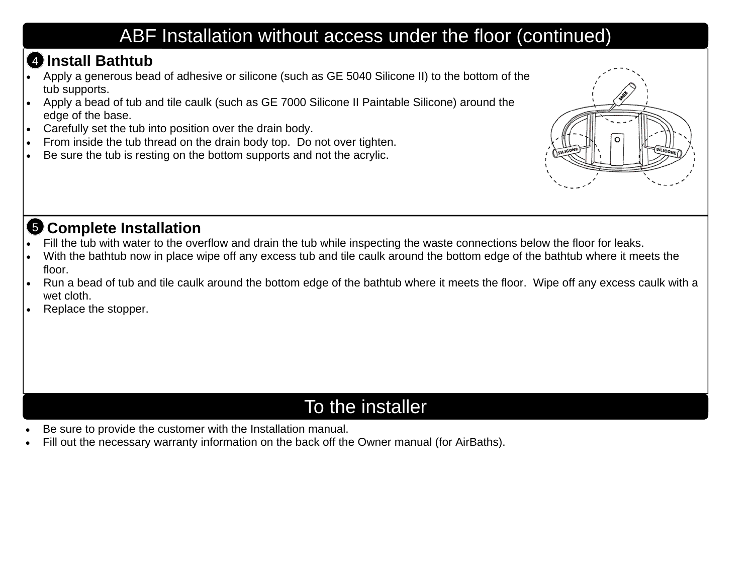# ABF Installation without access under the floor (continued)

#### **Install Bathtub** 4

- . Apply a generous bead of adhesive or silicone (such as GE 5040 Silicone II) to the bottom of the tub supports.
- $\bullet$  Apply a bead of tub and tile caulk (such as GE 7000 Silicone II Paintable Silicone) around the edge of the base.
- $\bullet$ Carefully set the tub into position over the drain body.
- $\bullet$ From inside the tub thread on the drain body top. Do not over tighten.
- $\bullet$ Be sure the tub is resting on the bottom supports and not the acrylic.



#### **3 Complete Installation**

- $\bullet$ Fill the tub with water to the overflow and drain the tub while inspecting the waste connections below the floor for leaks.
- $\bullet$  With the bathtub now in place wipe off any excess tub and tile caulk around the bottom edge of the bathtub where it meets the floor.
- $\bullet$  Run a bead of tub and tile caulk around the bottom edge of the bathtub where it meets the floor. Wipe off any excess caulk with a wet cloth.
- $\bullet$ Replace the stopper.

# To the installer

- $\bullet$ Be sure to provide the customer with the Installation manual.
- $\bullet$ Fill out the necessary warranty information on the back off the Owner manual (for AirBaths).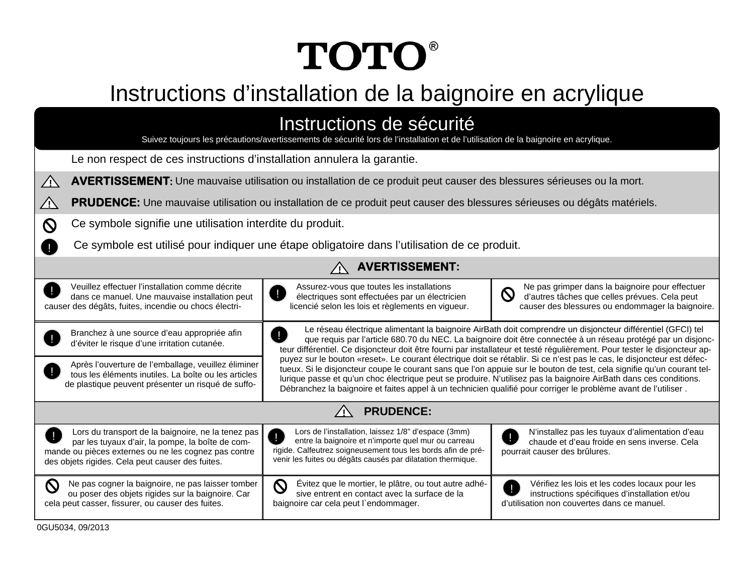# **TOTO®**

# Instructions d'installation de la baignoire en acrylique

| Instructions de sécurité<br>Suivez toujours les précautions/avertissements de sécurité lors de l'installation et de l'utilisation de la baignoire en acrylique.                                                    |                                                                                                                                                                                                                                                                                                                                                                                                                                                                                          |                                                                                                                                                                           |  |  |
|--------------------------------------------------------------------------------------------------------------------------------------------------------------------------------------------------------------------|------------------------------------------------------------------------------------------------------------------------------------------------------------------------------------------------------------------------------------------------------------------------------------------------------------------------------------------------------------------------------------------------------------------------------------------------------------------------------------------|---------------------------------------------------------------------------------------------------------------------------------------------------------------------------|--|--|
| Le non respect de ces instructions d'installation annulera la garantie.                                                                                                                                            |                                                                                                                                                                                                                                                                                                                                                                                                                                                                                          |                                                                                                                                                                           |  |  |
| AVERTISSEMENT: Une mauvaise utilisation ou installation de ce produit peut causer des blessures sérieuses ou la mort.<br>$\bigwedge$                                                                               |                                                                                                                                                                                                                                                                                                                                                                                                                                                                                          |                                                                                                                                                                           |  |  |
| <b>PRUDENCE:</b> Une mauvaise utilisation ou installation de ce produit peut causer des blessures sérieuses ou dégâts matériels.<br><u>/I\</u>                                                                     |                                                                                                                                                                                                                                                                                                                                                                                                                                                                                          |                                                                                                                                                                           |  |  |
| Ce symbole signifie une utilisation interdite du produit.<br><b>N</b>                                                                                                                                              |                                                                                                                                                                                                                                                                                                                                                                                                                                                                                          |                                                                                                                                                                           |  |  |
| Ce symbole est utilisé pour indiquer une étape obligatoire dans l'utilisation de ce produit.                                                                                                                       |                                                                                                                                                                                                                                                                                                                                                                                                                                                                                          |                                                                                                                                                                           |  |  |
| <b>AVERTISSEMENT:</b>                                                                                                                                                                                              |                                                                                                                                                                                                                                                                                                                                                                                                                                                                                          |                                                                                                                                                                           |  |  |
| Veuillez effectuer l'installation comme décrite<br>dans ce manuel. Une mauvaise installation peut<br>causer des dégâts, fuites, incendie ou chocs électri-                                                         | Assurez-vous que toutes les installations<br>$\blacksquare$<br>électriques sont effectuées par un électricien<br>licencié selon les lois et règlements en vigueur.                                                                                                                                                                                                                                                                                                                       | Ne pas grimper dans la baignoire pour effectuer<br>$\bm{\mathsf{Q}}$<br>d'autres tâches que celles prévues. Cela peut<br>causer des blessures ou endommager la baignoire. |  |  |
| Branchez à une source d'eau appropriée afin<br>d'éviter le risque d'une irritation cutanée.                                                                                                                        | Le réseau électrique alimentant la baignoire AirBath doit comprendre un disjoncteur différentiel (GFCI) tel<br>que requis par l'article 680.70 du NEC. La baignoire doit être connectée à un réseau protégé par un disjonc-<br>teur différentiel. Ce disjoncteur doit être fourni par installateur et testé régulièrement. Pour tester le disjoncteur ap-                                                                                                                                |                                                                                                                                                                           |  |  |
| Après l'ouverture de l'emballage, veuillez éliminer<br>tous les éléments inutiles. La boîte ou les articles<br>de plastique peuvent présenter un risqué de suffo-                                                  | puyez sur le bouton «reset». Le courant électrique doit se rétablir. Si ce n'est pas le cas, le disjoncteur est défec-<br>tueux. Si le disjoncteur coupe le courant sans que l'on appuie sur le bouton de test, cela signifie qu'un courant tel-<br>lurique passe et qu'un choc électrique peut se produire. N'utilisez pas la baignoire AirBath dans ces conditions.<br>Débranchez la baignoire et faites appel à un technicien qualifié pour corriger le problème avant de l'utiliser. |                                                                                                                                                                           |  |  |
| <b>PRUDENCE:</b>                                                                                                                                                                                                   |                                                                                                                                                                                                                                                                                                                                                                                                                                                                                          |                                                                                                                                                                           |  |  |
| Lors du transport de la baignoire, ne la tenez pas<br>par les tuyaux d'air, la pompe, la boîte de com-<br>mande ou pièces externes ou ne les cognez pas contre<br>des objets rigides. Cela peut causer des fuites. | Lors de l'installation, laissez 1/8" d'espace (3mm)<br>Ц<br>entre la baignoire et n'importe quel mur ou carreau<br>rigide. Calfeutrez soigneusement tous les bords afin de pré-<br>venir les fuites ou dégâts causés par dilatation thermique.                                                                                                                                                                                                                                           | N'installez pas les tuyaux d'alimentation d'eau<br>chaude et d'eau froide en sens inverse. Cela<br>pourrait causer des brûlures.                                          |  |  |
| Ne pas cogner la baignoire, ne pas laisser tomber<br>$\boldsymbol{\mathsf{C}}$<br>ou poser des objets rigides sur la baignoire. Car<br>cela peut casser, fissurer, ou causer des fuites.                           | $\mathsf{O}$<br>Évitez que le mortier, le plâtre, ou tout autre adhé-<br>sive entrent en contact avec la surface de la<br>baignoire car cela peut l'endommager.                                                                                                                                                                                                                                                                                                                          | Vérifiez les lois et les codes locaux pour les<br>instructions spécifiques d'installation et/ou<br>d'utilisation non couvertes dans ce manuel.                            |  |  |

0GU5034, 09/2013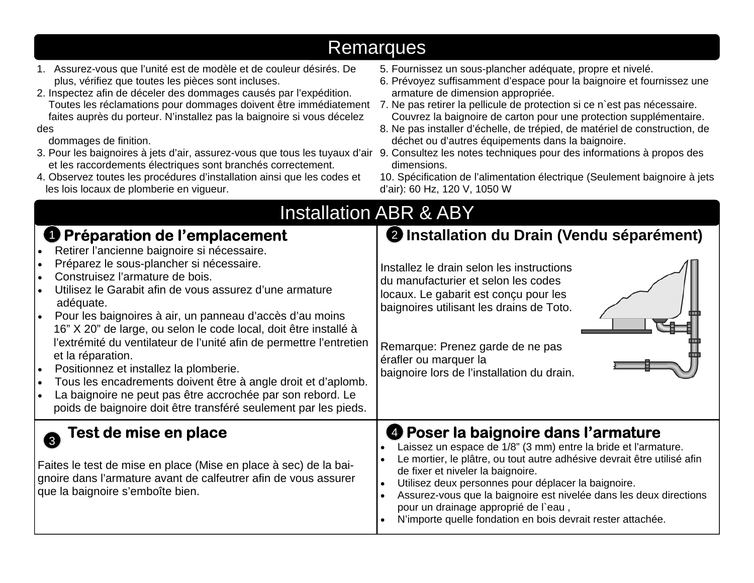|                                                                                                                                                                                                                                                                                                                                                                                                                                                                                                                                                                                                                                                                                                                                  | Remarques                                                                                                                                                                                                                                                                                                                                                                                                                                                                                                                                                                                  |
|----------------------------------------------------------------------------------------------------------------------------------------------------------------------------------------------------------------------------------------------------------------------------------------------------------------------------------------------------------------------------------------------------------------------------------------------------------------------------------------------------------------------------------------------------------------------------------------------------------------------------------------------------------------------------------------------------------------------------------|--------------------------------------------------------------------------------------------------------------------------------------------------------------------------------------------------------------------------------------------------------------------------------------------------------------------------------------------------------------------------------------------------------------------------------------------------------------------------------------------------------------------------------------------------------------------------------------------|
| 1. Assurez-vous que l'unité est de modèle et de couleur désirés. De<br>plus, vérifiez que toutes les pièces sont incluses.<br>2. Inspectez afin de déceler des dommages causés par l'expédition.<br>Toutes les réclamations pour dommages doivent être immédiatement<br>faites auprès du porteur. N'installez pas la baignoire si vous décelez<br>des<br>dommages de finition.<br>3. Pour les baignoires à jets d'air, assurez-vous que tous les tuyaux d'air 9. Consultez les notes techniques pour des informations à propos des<br>et les raccordements électriques sont branchés correctement.<br>4. Observez toutes les procédures d'installation ainsi que les codes et<br>les lois locaux de plomberie en vigueur.        | 5. Fournissez un sous-plancher adéquate, propre et nivelé.<br>6. Prévoyez suffisamment d'espace pour la baignoire et fournissez une<br>armature de dimension appropriée.<br>7. Ne pas retirer la pellicule de protection si ce n'est pas nécessaire.<br>Couvrez la baignoire de carton pour une protection supplémentaire.<br>8. Ne pas installer d'échelle, de trépied, de matériel de construction, de<br>déchet ou d'autres équipements dans la baignoire.<br>dimensions.<br>10. Spécification de l'alimentation électrique (Seulement baignoire à jets<br>d'air): 60 Hz, 120 V, 1050 W |
|                                                                                                                                                                                                                                                                                                                                                                                                                                                                                                                                                                                                                                                                                                                                  | <b>Installation ABR &amp; ABY</b>                                                                                                                                                                                                                                                                                                                                                                                                                                                                                                                                                          |
| <b>O</b> Préparation de l'emplacement<br>Retirer l'ancienne baignoire si nécessaire.<br>Préparez le sous-plancher si nécessaire.<br>Construisez l'armature de bois.<br>Utilisez le Garabit afin de vous assurez d'une armature<br>adéquate.<br>Pour les baignoires à air, un panneau d'accès d'au moins<br>16" X 20" de large, ou selon le code local, doit être installé à<br>l'extrémité du ventilateur de l'unité afin de permettre l'entretien<br>et la réparation.<br>Positionnez et installez la plomberie.<br>Tous les encadrements doivent être à angle droit et d'aplomb.<br>$\bullet$<br>La baignoire ne peut pas être accrochée par son rebord. Le<br>poids de baignoire doit être transféré seulement par les pieds. | 2 Installation du Drain (Vendu séparément)<br>Installez le drain selon les instructions<br>du manufacturier et selon les codes<br>locaux. Le gabarit est conçu pour les<br>baignoires utilisant les drains de Toto.<br>Remarque: Prenez garde de ne pas<br>érafler ou marquer la<br>baignoire lors de l'installation du drain.                                                                                                                                                                                                                                                             |
| Fest de mise en place<br>$\left(3\right)$<br>Faites le test de mise en place (Mise en place à sec) de la bai-<br>gnoire dans l'armature avant de calfeutrer afin de vous assurer<br>que la baignoire s'emboîte bien.                                                                                                                                                                                                                                                                                                                                                                                                                                                                                                             | <b>❹ Poser la baignoire dans l'armature</b><br>Laissez un espace de 1/8" (3 mm) entre la bride et l'armature.<br>Le mortier, le plâtre, ou tout autre adhésive devrait être utilisé afin<br>de fixer et niveler la baignoire.<br>Utilisez deux personnes pour déplacer la baignoire.<br>$\bullet$<br>Assurez-vous que la baignoire est nivelée dans les deux directions<br>$\bullet$<br>pour un drainage approprié de l'eau,<br>N'importe quelle fondation en bois devrait rester attachée.<br>$\bullet$                                                                                   |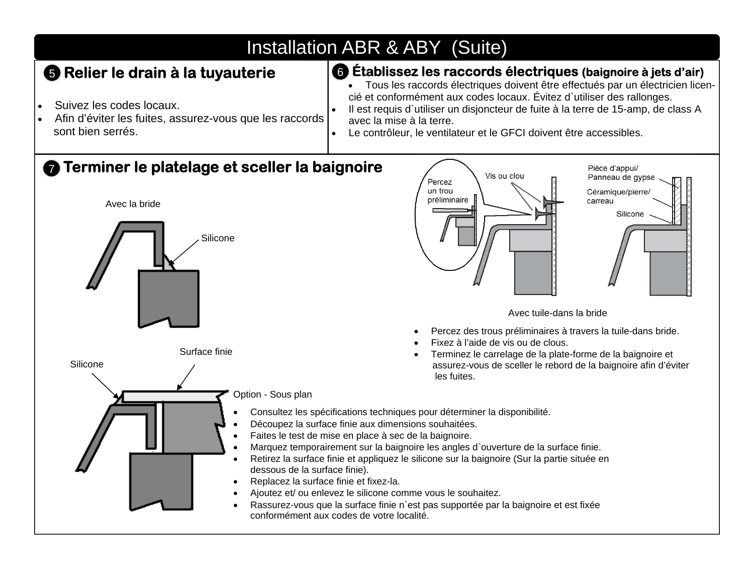# Installation ABR & ABY (Suite)

#### **Relier le drain à la tuyauterie**

- $\bullet$ Suivez les codes locaux.
- $\bullet$  Afin d'éviter les fuites, assurez-vous que les raccords sont bien serrés.

#### **5** Relier le drain à la tuyauterie **de la facture de la faccords électriques** (baignoire à jets d'air)

 Tous les raccords électriques doivent être effectués par un électricien licencié et conformément aux codes locaux. Évitez d`utiliser des rallonges.

Pièce d'appui/

- $\bullet$  Il est requis d`utiliser un disjoncteur de fuite à la terre de 15-amp, de class A avec la mise à la terre.
- $\bullet$ Le contrôleur, le ventilateur et le GFCI doivent être accessibles.

#### **Terminer le platelage et sceller la baignoire** 7

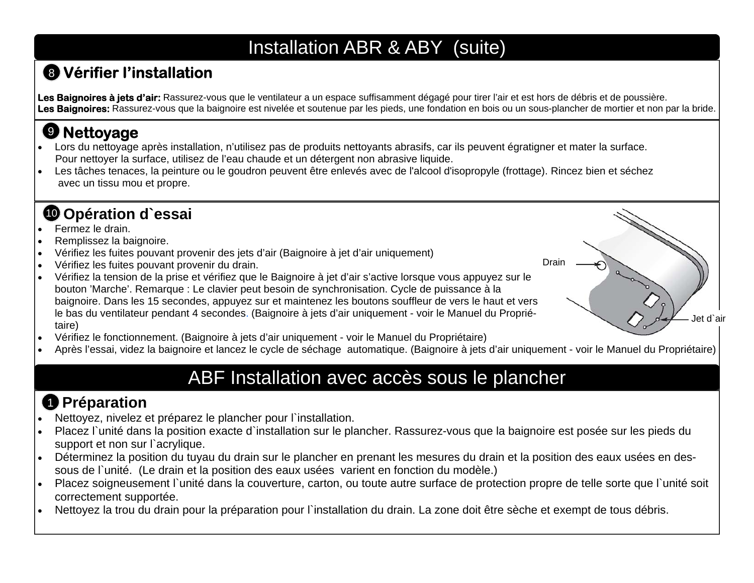# Installation ABR & ABY (suite)

# **Vérifier l'installation** 8

Les Baignoires à jets d'air: Rassurez-vous que le ventilateur a un espace suffisamment dégagé pour tirer l'air et est hors de débris et de poussière. Les Baignoires: Rassurez-vous que la baignoire est nivelée et soutenue par les pieds, une fondation en bois ou un sous-plancher de mortier et non par la bride.

# **Nettoyage**  9

- $\bullet$  Lors du nettoyage après installation, n'utilisez pas de produits nettoyants abrasifs, car ils peuvent égratigner et mater la surface. Pour nettoyer la surface, utilisez de l'eau chaude et un détergent non abrasive liquide.
- $\bullet$  Les tâches tenaces, la peinture ou le goudron peuvent être enlevés avec de l'alcool d'isopropyle (frottage). Rincez bien et séchez avec un tissu mou et propre.

#### **Opération d`essai**  10

- $\bullet$ Fermez le drain.
- $\bullet$ Remplissez la baignoire.
- $\bullet$ Vérifiez les fuites pouvant provenir des jets d'air (Baignoire à jet d'air uniquement)
- $\bullet$ Vérifiez les fuites pouvant provenir du drain.
- $\bullet$  Vérifiez la tension de la prise et vérifiez que le Baignoire à jet d'air <sup>s</sup>'active lorsque vous appuyez sur le bouton 'Marche'. Remarque : Le clavier peut besoin de synchronisation. Cycle de puissance à la baignoire. Dans les 15 secondes, appuyez sur et maintenez les boutons souffleur de vers le haut et vers le bas du ventilateur pendant 4 secondes. (Baignoire à jets d'air uniquement - voir le Manuel du Propriétaire)
- $\bullet$ Vérifiez le fonctionnement. (Baignoire à jets d'air uniquement - voir le Manuel du Propriétaire)
- . Après l'essai, videz la baignoire et lancez le cycle de séchage automatique. (Baignoire à jets d'air uniquement - voir le Manuel du Propriétaire)

Drain

Jet d`air

# ABF Installation avec accès sous le plancher

# **D** Préparation

- $\bullet$ Nettoyez, nivelez et préparez le plancher pour l`installation.
- $\bullet$  Placez l`unité dans la position exacte d`installation sur le plancher. Rassurez-vous que la baignoire est posée sur les pieds du support et non sur l'acrylique.
- $\bullet$  Déterminez la position du tuyau du drain sur le plancher en prenant les mesures du drain et la position des eaux usées en dessous de l`unité. (Le drain et la position des eaux usées varient en fonction du modèle.)
- $\bullet$ Placez soigneusement l'unité dans la couverture, carton, ou toute autre surface de protection propre de telle sorte que l'unité soit correctement supportée.
- $\bullet$ Nettoyez la trou du drain pour la préparation pour l`installation du drain. La zone doit être sèche et exempt de tous débris.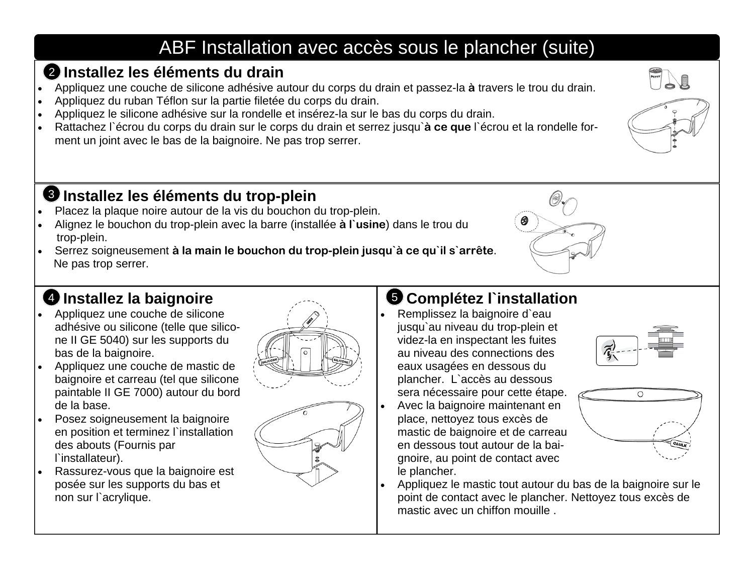# ABF Installation avec accès sous le plancher (suite)

#### **Installez les éléments du drain** 2

- $\bullet$ Appliquez une couche de silicone adhésive autour du corps du drain et passez-la **à** travers le trou du drain.
- $\bullet$ Appliquez du ruban Téflon sur la partie filetée du corps du drain.
- $\bullet$ Appliquez le silicone adhésive sur la rondelle et insérez-la sur le bas du corps du drain.
- $\bullet$  Rattachez l`écrou du corps du drain sur le corps du drain et serrez jusqu`**à ce que** l`écrou et la rondelle forment un joint avec le bas de la baignoire. Ne pas trop serrer.

#### **Installez les éléments du trop-plein**  3

- $\bullet$ Placez la plaque noire autour de la vis du bouchon du trop-plein.
- $\bullet$  Alignez le bouchon du trop-plein avec la barre (installée **à l`usine**) dans le trou du trop-plein.
- $\bullet$  Serrez soigneusement **à la main le bouchon du trop-plein jusqu`à ce qu`il s`arrête**. Ne pas trop serrer.

#### **Installez la baignoire**

- $\bullet$  Appliquez une couche de silicone adhésive ou silicone (telle que silicone II GE 5040) sur les supports du bas de la baignoire.
- $\bullet$  Appliquez une couche de mastic de baignoire et carreau (tel que silicone paintable II GE 7000) autour du bord de la base.
- $\bullet$  Posez soigneusement la baignoire en position et terminez l`installation des abouts (Fournis par l`installateur).
- $\bullet$  Rassurez-vous que la baignoire est posée sur les supports du bas et non sur l`acrylique.





### **4** Installez la baignoire **19 Installation**

- Remplissez la baignoire d`eau jusqu`au niveau du trop-plein et videz-la en inspectant les fuites au niveau des connections des eaux usagées en dessous du plancher. L`accès au dessous sera nécessaire pour cette étape.
- $\bullet$  Avec la baignoire maintenant en place, nettoyez tous excès de mastic de baignoire et de carreau en dessous tout autour de la baignoire, au point de contact avec le plancher.





 $\bullet$  Appliquez le mastic tout autour du bas de la baignoire sur le point de contact avec le plancher. Nettoyez tous excès de mastic avec un chiffon mouille .



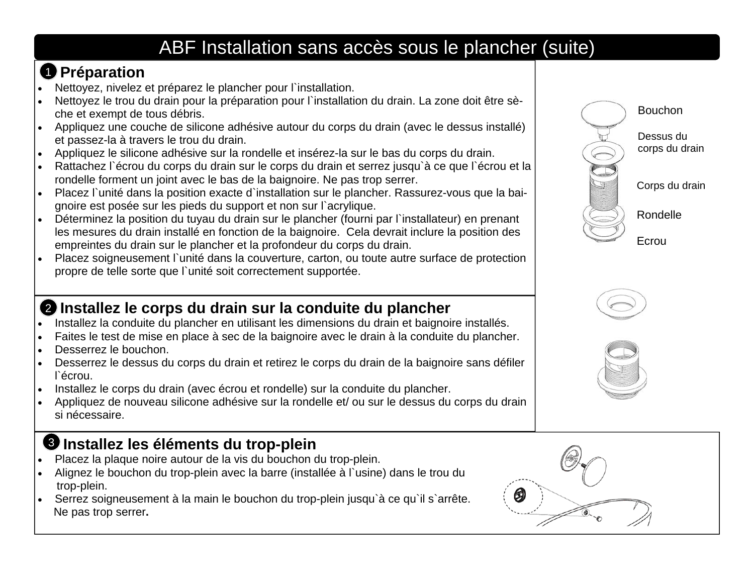# ABF Installation sans accès sous le plancher (suite)

# **D** Préparation

- . Nettoyez, nivelez et préparez le plancher pour l'installation.
- $\bullet$  Nettoyez le trou du drain pour la préparation pour l`installation du drain. La zone doit être sèche et exempt de tous débris.
- $\bullet$  Appliquez une couche de silicone adhésive autour du corps du drain (avec le dessus installé) et passez-la à travers le trou du drain.
- Appliquez le silicone adhésive sur la rondelle et insérez-la sur le bas du corps du drain.
- $\bullet$  Rattachez l`écrou du corps du drain sur le corps du drain et serrez jusqu`à ce que l`écrou et la rondelle forment un joint avec le bas de la baignoire. Ne pas trop serrer.
- Placez l`unité dans la position exacte d`installation sur le plancher. Rassurez-vous que la baignoire est posée sur les pieds du support et non sur l`acrylique.
- Déterminez la position du tuyau du drain sur le plancher (fourni par l`installateur) en prenant les mesures du drain installé en fonction de la baignoire. Cela devrait inclure la position des empreintes du drain sur le plancher et la profondeur du corps du drain.
- $\bullet$  Placez soigneusement l`unité dans la couverture, carton, ou toute autre surface de protection propre de telle sorte que l`unité soit correctement supportée.



- . Installez la conduite du plancher en utilisant les dimensions du drain et baignoire installés.
- $\bullet$ Faites le test de mise en place à sec de la baignoire avec le drain à la conduite du plancher.
- $\bullet$ Desserrez le bouchon.
- $\bullet$  Desserrez le dessus du corps du drain et retirez le corps du drain de la baignoire sans défiler l`écrou.
- . Installez le corps du drain (avec écrou et rondelle) sur la conduite du plancher.
- $\bullet$  Appliquez de nouveau silicone adhésive sur la rondelle et/ ou sur le dessus du corps du drain si nécessaire.

#### **Installez les éléments du trop-plein**  3

- $\bullet$ Placez la plaque noire autour de la vis du bouchon du trop-plein.
- $\bullet$  Alignez le bouchon du trop-plein avec la barre (installée à l`usine) dans le trou du trop-plein.
- . Serrez soigneusement à la main le bouchon du trop-plein jusqu`à ce qu`il s`arrête. Ne pas trop serrer**.**







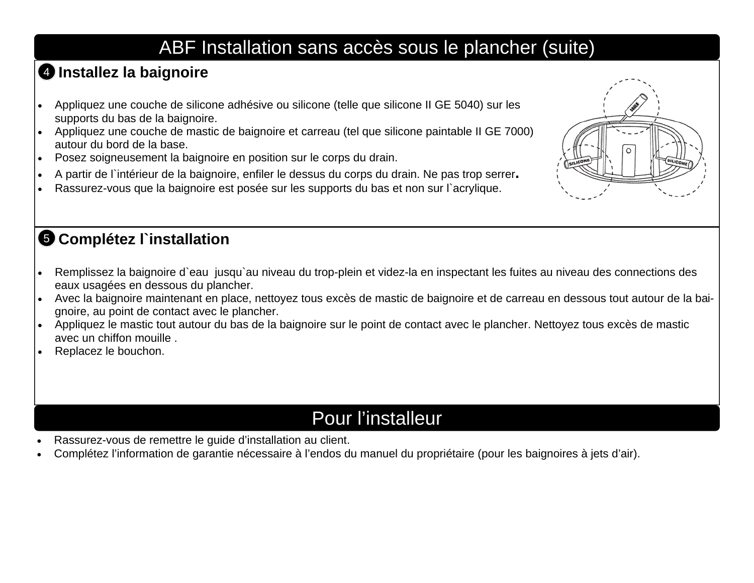# ABF Installation sans accès sous le plancher (suite)

#### **Installez la baignoire**  4

- $\bullet$  Appliquez une couche de silicone adhésive ou silicone (telle que silicone II GE 5040) sur les supports du bas de la baignoire.
- Appliquez une couche de mastic de baignoire et carreau (tel que silicone paintable II GE 7000) autour du bord de la base.
- $\bullet$ Posez soigneusement la baignoire en position sur le corps du drain.
- $\bullet$ A partir de l`intérieur de la baignoire, enfiler le dessus du corps du drain. Ne pas trop serrer**.**
- $\bullet$ Rassurez-vous que la baignoire est posée sur les supports du bas et non sur l'acrylique.

#### **3 Complétez l`installation**

- $\bullet$  Remplissez la baignoire d`eau jusqu`au niveau du trop-plein et videz-la en inspectant les fuites au niveau des connections des eaux usagées en dessous du plancher.
- $\bullet$  Avec la baignoire maintenant en place, nettoyez tous excès de mastic de baignoire et de carreau en dessous tout autour de la baignoire, au point de contact avec le plancher.
- Appliquez le mastic tout autour du bas de la baignoire sur le point de contact avec le plancher. Nettoyez tous excès de mastic avec un chiffon mouille .
- $\bullet$ Replacez le bouchon.

# Pour l'installeur

- $\bullet$ Rassurez-vous de remettre le guide d'installation au client.
- $\bullet$ Complétez l'information de garantie nécessaire à l'endos du manuel du propriétaire (pour les baignoires à jets d'air).

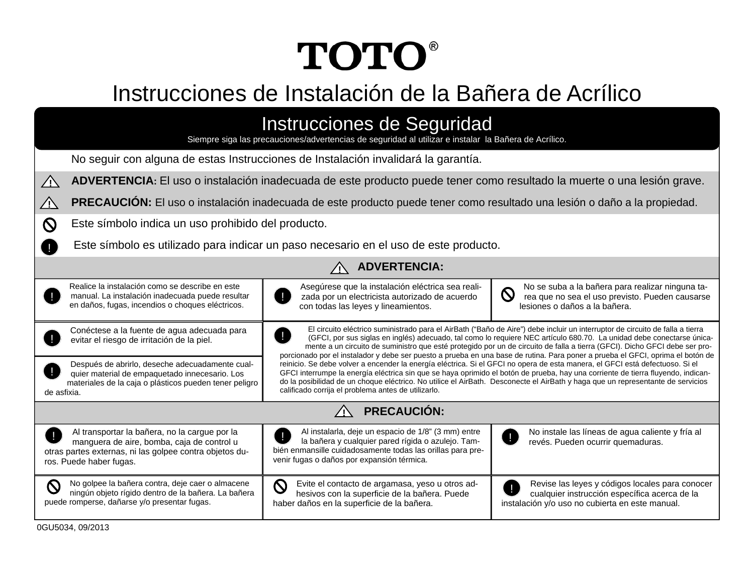# **TOTO®**

# Instrucciones de Instalación de la Bañera de Acrílico

| Instrucciones de Seguridad<br>Siempre siga las precauciones/advertencias de seguridad al utilizar e instalar la Bañera de Acrílico.                                               |                                                                                                                                                                                                                                                                                                                                                                                                                                                                                                                                                                                                                                                                                                                                                                                                                                                                                                                                                                                      |                                                                                                                                                      |  |  |
|-----------------------------------------------------------------------------------------------------------------------------------------------------------------------------------|--------------------------------------------------------------------------------------------------------------------------------------------------------------------------------------------------------------------------------------------------------------------------------------------------------------------------------------------------------------------------------------------------------------------------------------------------------------------------------------------------------------------------------------------------------------------------------------------------------------------------------------------------------------------------------------------------------------------------------------------------------------------------------------------------------------------------------------------------------------------------------------------------------------------------------------------------------------------------------------|------------------------------------------------------------------------------------------------------------------------------------------------------|--|--|
| No seguir con alguna de estas Instrucciones de Instalación invalidará la garantía.                                                                                                |                                                                                                                                                                                                                                                                                                                                                                                                                                                                                                                                                                                                                                                                                                                                                                                                                                                                                                                                                                                      |                                                                                                                                                      |  |  |
| ADVERTENCIA: El uso o instalación inadecuada de este producto puede tener como resultado la muerte o una lesión grave.<br>$\bigwedge$                                             |                                                                                                                                                                                                                                                                                                                                                                                                                                                                                                                                                                                                                                                                                                                                                                                                                                                                                                                                                                                      |                                                                                                                                                      |  |  |
| <b>PRECAUCIÓN:</b> El uso o instalación inadecuada de este producto puede tener como resultado una lesión o daño a la propiedad.<br>ΔN                                            |                                                                                                                                                                                                                                                                                                                                                                                                                                                                                                                                                                                                                                                                                                                                                                                                                                                                                                                                                                                      |                                                                                                                                                      |  |  |
| Este símbolo indica un uso prohibido del producto.<br>$\mathcal{O}$                                                                                                               |                                                                                                                                                                                                                                                                                                                                                                                                                                                                                                                                                                                                                                                                                                                                                                                                                                                                                                                                                                                      |                                                                                                                                                      |  |  |
| Este símbolo es utilizado para indicar un paso necesario en el uso de este producto.                                                                                              |                                                                                                                                                                                                                                                                                                                                                                                                                                                                                                                                                                                                                                                                                                                                                                                                                                                                                                                                                                                      |                                                                                                                                                      |  |  |
| <b>ADVERTENCIA:</b>                                                                                                                                                               |                                                                                                                                                                                                                                                                                                                                                                                                                                                                                                                                                                                                                                                                                                                                                                                                                                                                                                                                                                                      |                                                                                                                                                      |  |  |
| Realice la instalación como se describe en este<br>manual. La instalación inadecuada puede resultar<br>en daños, fugas, incendios o choques eléctricos.                           | Asegúrese que la instalación eléctrica sea reali-<br>zada por un electricista autorizado de acuerdo<br>con todas las leyes y lineamientos.                                                                                                                                                                                                                                                                                                                                                                                                                                                                                                                                                                                                                                                                                                                                                                                                                                           | No se suba a la bañera para realizar ninguna ta-<br>$\mathsf{Q}$<br>rea que no sea el uso previsto. Pueden causarse<br>lesiones o daños a la bañera. |  |  |
| Conéctese a la fuente de agua adecuada para<br>evitar el riesgo de irritación de la piel.                                                                                         | El circuito eléctrico suministrado para el AirBath ("Baño de Aire") debe incluir un interruptor de circuito de falla a tierra<br>(GFCI, por sus siglas en inglés) adecuado, tal como lo requiere NEC artículo 680.70. La unidad debe conectarse única-<br>mente a un circuito de suministro que esté protegido por un de circuito de falla a tierra (GFCI). Dicho GFCI debe ser pro-<br>porcionado por el instalador y debe ser puesto a prueba en una base de rutina. Para poner a prueba el GFCI, oprima el botón de<br>reinicio. Se debe volver a encender la energía eléctrica. Si el GFCI no opera de esta manera, el GFCI está defectuoso. Si el<br>GFCI interrumpe la energía eléctrica sin que se haya oprimido el botón de prueba, hay una corriente de tierra fluyendo, indican-<br>do la posibilidad de un choque eléctrico. No utilice el AirBath. Desconecte el AirBath y haga que un representante de servicios<br>calificado corrija el problema antes de utilizarlo. |                                                                                                                                                      |  |  |
| Después de abrirlo, deseche adecuadamente cual-<br>quier material de empaquetado innecesario. Los<br>materiales de la caja o plásticos pueden tener peligro<br>de asfixia.        |                                                                                                                                                                                                                                                                                                                                                                                                                                                                                                                                                                                                                                                                                                                                                                                                                                                                                                                                                                                      |                                                                                                                                                      |  |  |
| <b>PRECAUCIÓN:</b>                                                                                                                                                                |                                                                                                                                                                                                                                                                                                                                                                                                                                                                                                                                                                                                                                                                                                                                                                                                                                                                                                                                                                                      |                                                                                                                                                      |  |  |
| Al transportar la bañera, no la cargue por la<br>manguera de aire, bomba, caja de control u<br>otras partes externas, ni las golpee contra objetos du-<br>ros. Puede haber fugas. | Al instalarla, deje un espacio de 1/8" (3 mm) entre<br>la bañera y cualquier pared rígida o azulejo. Tam-<br>bién enmansille cuidadosamente todas las orillas para pre-<br>venir fugas o daños por expansión térmica.                                                                                                                                                                                                                                                                                                                                                                                                                                                                                                                                                                                                                                                                                                                                                                | No instale las líneas de agua caliente y fría al<br>revés. Pueden ocurrir quemaduras.                                                                |  |  |
| No golpee la bañera contra, deje caer o almacene<br>ningún objeto rígido dentro de la bañera. La bañera<br>puede romperse, dañarse y/o presentar fugas.                           | $\mathsf{O}$<br>Evite el contacto de argamasa, yeso u otros ad-<br>hesivos con la superficie de la bañera. Puede<br>haber daños en la superficie de la bañera.                                                                                                                                                                                                                                                                                                                                                                                                                                                                                                                                                                                                                                                                                                                                                                                                                       | Revise las leyes y códigos locales para conocer<br>cualquier instrucción específica acerca de la<br>instalación y/o uso no cubierta en este manual.  |  |  |

0GU5034, 09/2013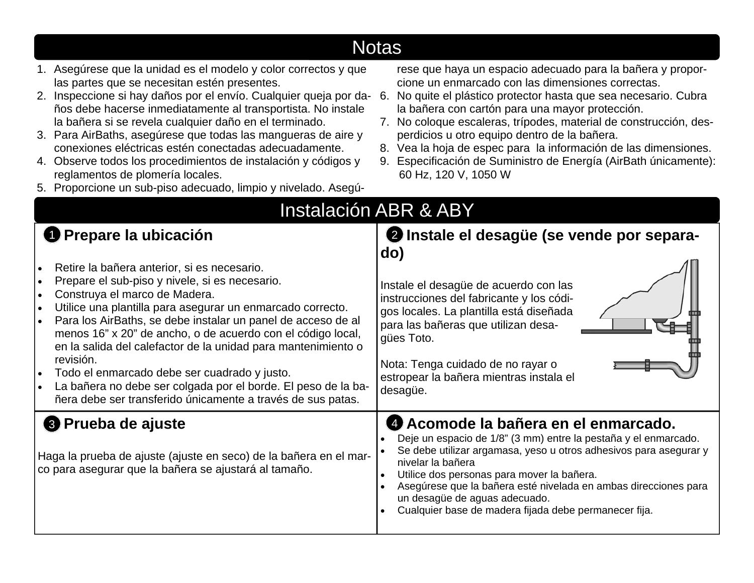| <u>Notas </u>                                                                                                                                                                                                                                                                                                                                                                                                                                                                                                                                                                                                       |                                                                                                                                                                                                                                                                                                                                                                                                                                                                                                                                |  |  |
|---------------------------------------------------------------------------------------------------------------------------------------------------------------------------------------------------------------------------------------------------------------------------------------------------------------------------------------------------------------------------------------------------------------------------------------------------------------------------------------------------------------------------------------------------------------------------------------------------------------------|--------------------------------------------------------------------------------------------------------------------------------------------------------------------------------------------------------------------------------------------------------------------------------------------------------------------------------------------------------------------------------------------------------------------------------------------------------------------------------------------------------------------------------|--|--|
| 1. Asegúrese que la unidad es el modelo y color correctos y que<br>las partes que se necesitan estén presentes.<br>2. Inspeccione si hay daños por el envío. Cualquier queja por da-<br>ños debe hacerse inmediatamente al transportista. No instale<br>la bañera si se revela cualquier daño en el terminado.<br>3. Para AirBaths, asegúrese que todas las mangueras de aire y<br>conexiones eléctricas estén conectadas adecuadamente.<br>4. Observe todos los procedimientos de instalación y códigos y<br>reglamentos de plomería locales.<br>5. Proporcione un sub-piso adecuado, limpio y nivelado. Asegú-    | rese que haya un espacio adecuado para la bañera y propor-<br>cione un enmarcado con las dimensiones correctas.<br>No quite el plástico protector hasta que sea necesario. Cubra<br>-6.<br>la bañera con cartón para una mayor protección.<br>7. No coloque escaleras, trípodes, material de construcción, des-<br>perdicios u otro equipo dentro de la bañera.<br>8. Vea la hoja de espec para la información de las dimensiones.<br>9. Especificación de Suministro de Energía (AirBath únicamente):<br>60 Hz, 120 V, 1050 W |  |  |
| <b>Instalación ABR &amp; ABY</b>                                                                                                                                                                                                                                                                                                                                                                                                                                                                                                                                                                                    |                                                                                                                                                                                                                                                                                                                                                                                                                                                                                                                                |  |  |
| <b>O</b> Prepare la ubicación                                                                                                                                                                                                                                                                                                                                                                                                                                                                                                                                                                                       | 2 Instale el desagüe (se vende por separa-<br>do)                                                                                                                                                                                                                                                                                                                                                                                                                                                                              |  |  |
| Retire la bañera anterior, si es necesario.<br>Prepare el sub-piso y nivele, si es necesario.<br>$\bullet$<br>Construya el marco de Madera.<br>$\bullet$<br>Utilice una plantilla para asegurar un enmarcado correcto.<br>Para los AirBaths, se debe instalar un panel de acceso de al<br>menos 16" x 20" de ancho, o de acuerdo con el código local,<br>en la salida del calefactor de la unidad para mantenimiento o<br>revisión.<br>Todo el enmarcado debe ser cuadrado y justo.<br>La bañera no debe ser colgada por el borde. El peso de la ba-<br>ñera debe ser transferido únicamente a través de sus patas. | Instale el desagüe de acuerdo con las<br>instrucciones del fabricante y los códi-<br>gos locales. La plantilla está diseñada<br>para las bañeras que utilizan desa-<br>gües Toto.<br>Nota: Tenga cuidado de no rayar o<br>estropear la bañera mientras instala el<br>desagüe.                                                                                                                                                                                                                                                  |  |  |
| <sup>3</sup> Prueba de ajuste<br>Haga la prueba de ajuste (ajuste en seco) de la bañera en el mar-<br>co para asegurar que la bañera se ajustará al tamaño.                                                                                                                                                                                                                                                                                                                                                                                                                                                         | Acomode la bañera en el enmarcado.<br>Deje un espacio de 1/8" (3 mm) entre la pestaña y el enmarcado.<br>Se debe utilizar argamasa, yeso u otros adhesivos para asegurar y<br>nivelar la bañera<br>Utilice dos personas para mover la bañera.<br>Asegúrese que la bañera esté nivelada en ambas direcciones para<br>$\bullet$<br>un desagüe de aguas adecuado.<br>Cualquier base de madera fijada debe permanecer fija.                                                                                                        |  |  |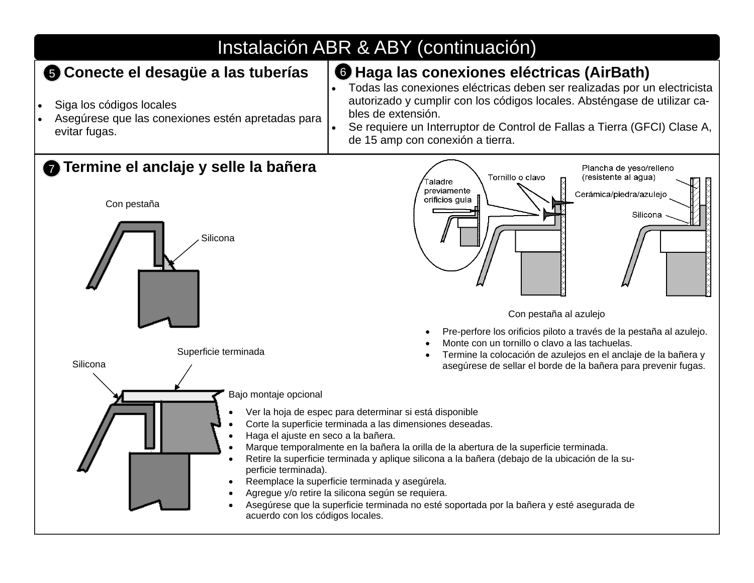# Instalación ABR & ABY (continuación)

#### **Conecte el desagüe a las tuberías**

- $\bullet$ Siga los códigos locales
- $\bullet$  Asegúrese que las conexiones estén apretadas para evitar fugas.

#### 5 Conecte el desagüe a las tuberías | **6 Haga las conexiones eléctricas (AirBath)**

- . Todas las conexiones eléctricas deben ser realizadas por un electricista autorizado y cumplir con los códigos locales. Absténgase de utilizar cables de extensión.
- $\bullet$  Se requiere un Interruptor de Control de Fallas a Tierra (GFCI) Clase A, de 15 amp con conexión a tierra.

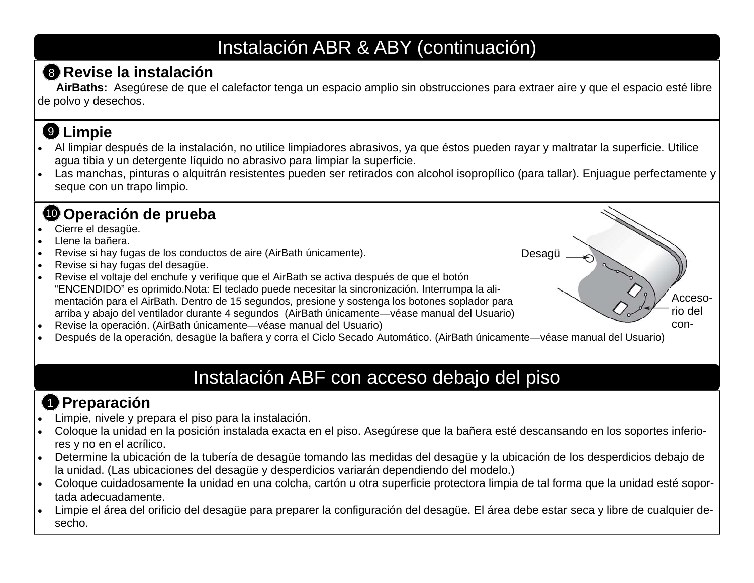# Instalación ABR & ABY (continuación)

#### **Revise la instalación** 8

**AirBaths:** Asegúrese de que el calefactor tenga un espacio amplio sin obstrucciones para extraer aire y que el espacio esté libre de polvo y desechos.

# **Limpie**  9

- . Al limpiar después de la instalación, no utilice limpiadores abrasivos, ya que éstos pueden rayar y maltratar la superficie. Utilice agua tibia y un detergente líquido no abrasivo para limpiar la superficie.
- $\bullet$  Las manchas, pinturas o alquitrán resistentes pueden ser retirados con alcohol isopropílico (para tallar). Enjuague perfectamente y seque con un trapo limpio.

Desagü

Accesorio del con-

#### **O** Operación de prueba

- $\bullet$ Cierre el desagüe.
- $\bullet$ Llene la bañera.
- $\bullet$ Revise si hay fugas de los conductos de aire (AirBath únicamente).
- $\bullet$ Revise si hay fugas del desagüe.
- $\bullet$  Revise el voltaje del enchufe y verifique que el AirBath se activa después de que el botón "ENCENDIDO" es oprimido.Nota: El teclado puede necesitar la sincronización. Interrumpa la alimentación para el AirBath. Dentro de 15 segundos, presione y sostenga los botones soplador para arriba y abajo del ventilador durante 4 segundos (AirBath únicamente—véase manual del Usuario)
- $\bullet$ Revise la operación. (AirBath únicamente—véase manual del Usuario)
- $\bullet$ Después de la operación, desagüe la bañera y corra el Ciclo Secado Automático. (AirBath únicamente—véase manual del Usuario)

# Instalación ABF con acceso debajo del piso

# **Preparación**  1

- $\bullet$ Limpie, nivele y prepara el piso para la instalación.
- $\bullet$  Coloque la unidad en la posición instalada exacta en el piso. Asegúrese que la bañera esté descansando en los soportes inferiores y no en el acrílico.
- $\bullet$  Determine la ubicación de la tubería de desagüe tomando las medidas del desagüe y la ubicación de los desperdicios debajo de la unidad. (Las ubicaciones del desagüe y desperdicios variarán dependiendo del modelo.)
- $\bullet$  Coloque cuidadosamente la unidad en una colcha, cartón u otra superficie protectora limpia de tal forma que la unidad esté soportada adecuadamente.
- $\bullet$  Limpie el área del orificio del desagüe para preparer la configuración del desagüe. El área debe estar seca y libre de cualquier desecho.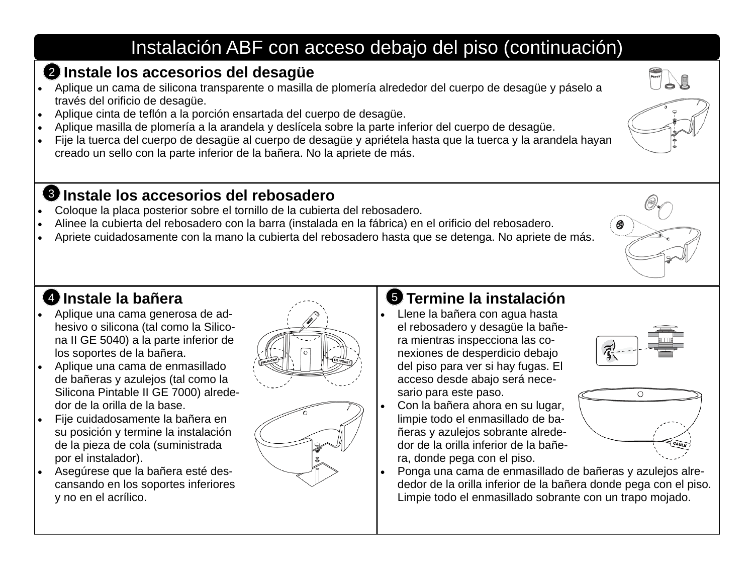# Instalación ABF con acceso debajo del piso (continuación)

#### **Instale los accesorios del desagüe**  2

- Aplique un cama de silicona transparente o masilla de plomería alrededor del cuerpo de desagüe y páselo a través del orificio de desagüe.
- $\bullet$ Aplique cinta de teflón a la porción ensartada del cuerpo de desagüe.
- $\bullet$ Aplique masilla de plomería a la arandela y deslícela sobre la parte inferior del cuerpo de desagüe.
- $\bullet$  Fije la tuerca del cuerpo de desagüe al cuerpo de desagüe y apriétela hasta que la tuerca y la arandela hayan creado un sello con la parte inferior de la bañera. No la apriete de más.

#### **Instale los accesorios del rebosadero** 3

- $\bullet$ Coloque la placa posterior sobre el tornillo de la cubierta del rebosadero.
- $\bullet$ Alinee la cubierta del rebosadero con la barra (instalada en la fábrica) en el orificio del rebosadero.
- $\bullet$ Apriete cuidadosamente con la mano la cubierta del rebosadero hasta que se detenga. No apriete de más.

# *A* Instale la bañera

- Aplique una cama generosa de adhesivo o silicona (tal como la Silicona II GE 5040) a la parte inferior de los soportes de la bañera.
- $\bullet$  Aplique una cama de enmasillado de bañeras y azulejos (tal como la Silicona Pintable II GE 7000) alrededor de la orilla de la base.
- $\bullet$  Fije cuidadosamente la bañera en su posición y termine la instalación de la pieza de cola (suministrada por el instalador).
- Asegúrese que la bañera esté descansando en los soportes inferiores y no en el acrílico.





#### 4 **Termine la instalación** 5

- Llene la bañera con agua hasta el rebosadero y desagüe la bañera mientras inspecciona las conexiones de desperdicio debajo del piso para ver si hay fugas. El acceso desde abajo será necesario para este paso.
- $\bullet$  Con la bañera ahora en su lugar, limpie todo el enmasillado de bañeras y azulejos sobrante alrededor de la orilla inferior de la bañera, donde pega con el piso.
- $\bullet$  Ponga una cama de enmasillado de bañeras y azulejos alrededor de la orilla inferior de la bañera donde pega con el piso. Limpie todo el enmasillado sobrante con un trapo mojado.





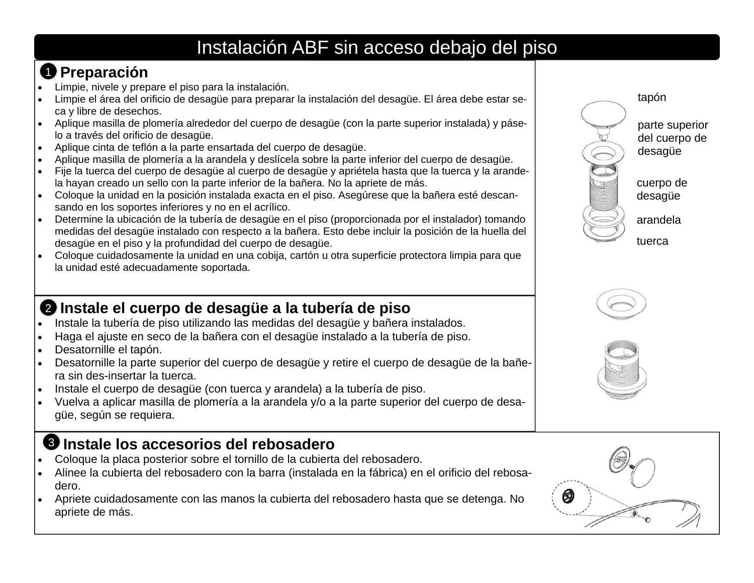# Instalación ABF sin acceso debajo del piso

# **Preparación**  1

- $\bullet$ Limpie, nivele y prepare el piso para la instalación.
- $\bullet$  Limpie el área del orificio de desagüe para preparar la instalación del desagüe. El área debe estar seca y libre de desechos.
- Aplique masilla de plomería alrededor del cuerpo de desagüe (con la parte superior instalada) y páselo a través del orificio de desagüe.
- $\bullet$ Aplique cinta de teflón a la parte ensartada del cuerpo de desagüe.
- $\bullet$ Aplique masilla de plomería a la arandela y deslícela sobre la parte inferior del cuerpo de desagüe.
- $\bullet$  Fije la tuerca del cuerpo de desagüe al cuerpo de desagüe y apriétela hasta que la tuerca y la arandela hayan creado un sello con la parte inferior de la bañera. No la apriete de más.
- Coloque la unidad en la posición instalada exacta en el piso. Asegúrese que la bañera esté descansando en los soportes inferiores y no en el acrílico.
- Determine la ubicación de la tubería de desagüe en el piso (proporcionada por el instalador) tomando medidas del desagüe instalado con respecto a la bañera. Esto debe incluir la posición de la huella del desagüe en el piso y la profundidad del cuerpo de desagüe.
- Coloque cuidadosamente la unidad en una cobija, cartón u otra superficie protectora limpia para que la unidad esté adecuadamente soportada.

#### **Instale el cuerpo de desagüe a la tubería de piso**  2

- . Instale la tubería de piso utilizando las medidas del desagüe y bañera instalados.
- $\bullet$ Haga el ajuste en seco de la bañera con el desagüe instalado a la tubería de piso.
- $\bullet$ Desatornille el tapón.
- $\bullet$  Desatornille la parte superior del cuerpo de desagüe y retire el cuerpo de desagüe de la bañera sin des-insertar la tuerca.
- . Instale el cuerpo de desagüe (con tuerca y arandela) a la tubería de piso.
- $\bullet$  Vuelva a aplicar masilla de plomería a la arandela y/o a la parte superior del cuerpo de desagüe, según se requiera.

#### **Instale los accesorios del rebosadero** 3

- $\bullet$ Coloque la placa posterior sobre el tornillo de la cubierta del rebosadero.
- $\bullet$  Alinee la cubierta del rebosadero con la barra (instalada en la fábrica) en el orificio del rebosadero.
- . Apriete cuidadosamente con las manos la cubierta del rebosadero hasta que se detenga. No apriete de más.